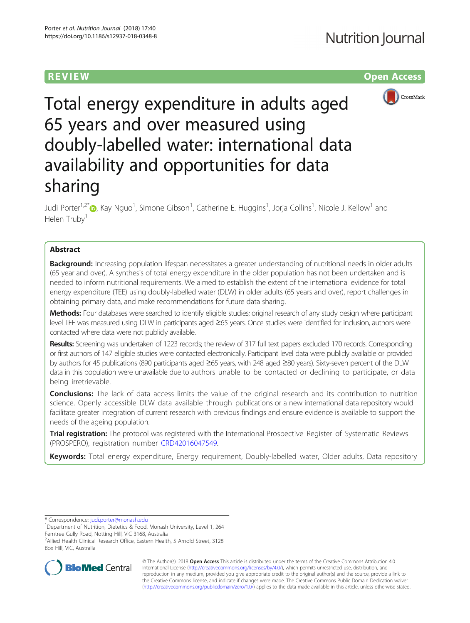**REVIEW CONSTRUCTION CONSTRUCTION CONSTRUCTS** 



Total energy expenditure in adults aged 65 years and over measured using doubly-labelled water: international data availability and opportunities for data sharing

Judi Porter<sup>1,2\*</sup>®, Kay Nguo<sup>1</sup>, Simone Gibson<sup>1</sup>, Catherine E. Huggins<sup>1</sup>, Jorja Collins<sup>1</sup>, Nicole J. Kellow<sup>1</sup> and Helen Truby<sup>1</sup>

# Abstract

**Background:** Increasing population lifespan necessitates a greater understanding of nutritional needs in older adults (65 year and over). A synthesis of total energy expenditure in the older population has not been undertaken and is needed to inform nutritional requirements. We aimed to establish the extent of the international evidence for total energy expenditure (TEE) using doubly-labelled water (DLW) in older adults (65 years and over), report challenges in obtaining primary data, and make recommendations for future data sharing.

Methods: Four databases were searched to identify eligible studies; original research of any study design where participant level TEE was measured using DLW in participants aged ≥65 years. Once studies were identified for inclusion, authors were contacted where data were not publicly available.

Results: Screening was undertaken of 1223 records; the review of 317 full text papers excluded 170 records. Corresponding or first authors of 147 eligible studies were contacted electronically. Participant level data were publicly available or provided by authors for 45 publications (890 participants aged ≥65 years, with 248 aged ≥80 years). Sixty-seven percent of the DLW data in this population were unavailable due to authors unable to be contacted or declining to participate, or data being irretrievable.

**Conclusions:** The lack of data access limits the value of the original research and its contribution to nutrition science. Openly accessible DLW data available through publications or a new international data repository would facilitate greater integration of current research with previous findings and ensure evidence is available to support the needs of the ageing population.

Trial registration: The protocol was registered with the International Prospective Register of Systematic Reviews (PROSPERO), registration number [CRD42016047549](http://www.crd.york.ac.uk/PROSPERO).

Keywords: Total energy expenditure, Energy requirement, Doubly-labelled water, Older adults, Data repository

\* Correspondence: [judi.porter@monash.edu](mailto:judi.porter@monash.edu) <sup>1</sup>

<sup>2</sup> Allied Health Clinical Research Office, Eastern Health, 5 Arnold Street, 3128 Box Hill, VIC, Australia



© The Author(s). 2018 Open Access This article is distributed under the terms of the Creative Commons Attribution 4.0 International License [\(http://creativecommons.org/licenses/by/4.0/](http://creativecommons.org/licenses/by/4.0/)), which permits unrestricted use, distribution, and reproduction in any medium, provided you give appropriate credit to the original author(s) and the source, provide a link to the Creative Commons license, and indicate if changes were made. The Creative Commons Public Domain Dedication waiver [\(http://creativecommons.org/publicdomain/zero/1.0/](http://creativecommons.org/publicdomain/zero/1.0/)) applies to the data made available in this article, unless otherwise stated.

<sup>&</sup>lt;sup>1</sup>Department of Nutrition, Dietetics & Food, Monash University, Level 1, 264 Ferntree Gully Road, Notting Hill, VIC 3168, Australia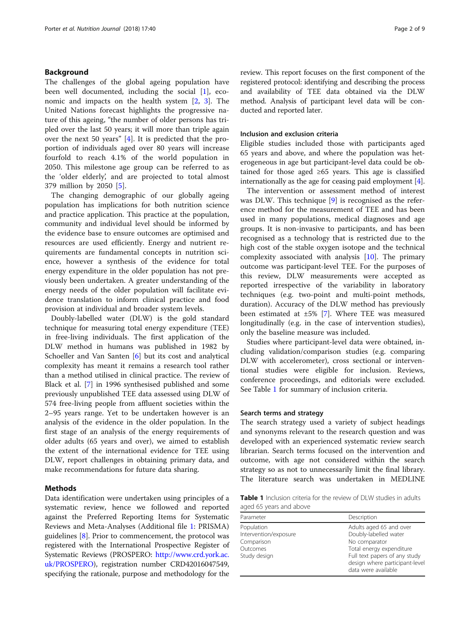## Background

The challenges of the global ageing population have been well documented, including the social [[1\]](#page-6-0), economic and impacts on the health system [\[2](#page-6-0), [3\]](#page-6-0). The United Nations forecast highlights the progressive nature of this ageing, "the number of older persons has tripled over the last 50 years; it will more than triple again over the next 50 years" [[4\]](#page-6-0). It is predicted that the proportion of individuals aged over 80 years will increase fourfold to reach 4.1% of the world population in 2050. This milestone age group can be referred to as the 'older elderly', and are projected to total almost 379 million by 2050 [[5\]](#page-6-0).

The changing demographic of our globally ageing population has implications for both nutrition science and practice application. This practice at the population, community and individual level should be informed by the evidence base to ensure outcomes are optimised and resources are used efficiently. Energy and nutrient requirements are fundamental concepts in nutrition science, however a synthesis of the evidence for total energy expenditure in the older population has not previously been undertaken. A greater understanding of the energy needs of the older population will facilitate evidence translation to inform clinical practice and food provision at individual and broader system levels.

Doubly-labelled water (DLW) is the gold standard technique for measuring total energy expenditure (TEE) in free-living individuals. The first application of the DLW method in humans was published in 1982 by Schoeller and Van Santen [[6\]](#page-6-0) but its cost and analytical complexity has meant it remains a research tool rather than a method utilised in clinical practice. The review of Black et al. [[7\]](#page-6-0) in 1996 synthesised published and some previously unpublished TEE data assessed using DLW of 574 free-living people from affluent societies within the 2–95 years range. Yet to be undertaken however is an analysis of the evidence in the older population. In the first stage of an analysis of the energy requirements of older adults (65 years and over), we aimed to establish the extent of the international evidence for TEE using DLW, report challenges in obtaining primary data, and make recommendations for future data sharing.

## Methods

Data identification were undertaken using principles of a systematic review, hence we followed and reported against the Preferred Reporting Items for Systematic Reviews and Meta-Analyses (Additional file [1:](#page-6-0) PRISMA) guidelines [[8\]](#page-6-0). Prior to commencement, the protocol was registered with the International Prospective Register of Systematic Reviews (PROSPERO: [http://www.crd.york.ac.](http://www.crd.york.ac.uk/PROSPERO) [uk/PROSPERO](http://www.crd.york.ac.uk/PROSPERO)), registration number CRD42016047549, specifying the rationale, purpose and methodology for the review. This report focuses on the first component of the registered protocol: identifying and describing the process and availability of TEE data obtained via the DLW method. Analysis of participant level data will be conducted and reported later.

## Inclusion and exclusion criteria

Eligible studies included those with participants aged 65 years and above, and where the population was heterogeneous in age but participant-level data could be obtained for those aged  $\geq 65$  years. This age is classified internationally as the age for ceasing paid employment [\[4](#page-6-0)].

The intervention or assessment method of interest was DLW. This technique [[9\]](#page-6-0) is recognised as the reference method for the measurement of TEE and has been used in many populations, medical diagnoses and age groups. It is non-invasive to participants, and has been recognised as a technology that is restricted due to the high cost of the stable oxygen isotope and the technical complexity associated with analysis [[10](#page-6-0)]. The primary outcome was participant-level TEE. For the purposes of this review, DLW measurements were accepted as reported irrespective of the variability in laboratory techniques (e.g. two-point and multi-point methods, duration). Accuracy of the DLW method has previously been estimated at ±5% [\[7](#page-6-0)]. Where TEE was measured longitudinally (e.g. in the case of intervention studies), only the baseline measure was included.

Studies where participant-level data were obtained, including validation/comparison studies (e.g. comparing DLW with accelerometer), cross sectional or interventional studies were eligible for inclusion. Reviews, conference proceedings, and editorials were excluded. See Table 1 for summary of inclusion criteria.

#### Search terms and strategy

The search strategy used a variety of subject headings and synonyms relevant to the research question and was developed with an experienced systematic review search librarian. Search terms focused on the intervention and outcome, with age not considered within the search strategy so as not to unnecessarily limit the final library. The literature search was undertaken in MEDLINE

Table 1 Inclusion criteria for the review of DLW studies in adults aged 65 years and above

| Parameter                                                                     | Description                                                                                                                                                                             |
|-------------------------------------------------------------------------------|-----------------------------------------------------------------------------------------------------------------------------------------------------------------------------------------|
| Population<br>Intervention/exposure<br>Comparison<br>Outcomes<br>Study design | Adults aged 65 and over<br>Doubly-labelled water<br>No comparator<br>Total energy expenditure<br>Full text papers of any study<br>design where participant-level<br>data were available |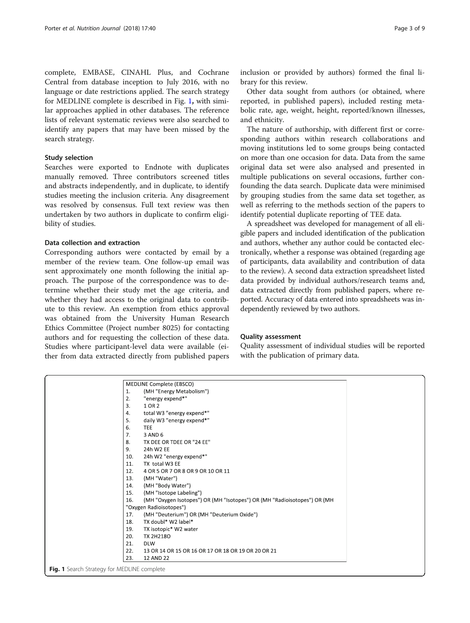complete, EMBASE, CINAHL Plus, and Cochrane Central from database inception to July 2016, with no language or date restrictions applied. The search strategy for MEDLINE complete is described in Fig. 1, with similar approaches applied in other databases. The reference lists of relevant systematic reviews were also searched to identify any papers that may have been missed by the search strategy.

## Study selection

Searches were exported to Endnote with duplicates manually removed. Three contributors screened titles and abstracts independently, and in duplicate, to identify studies meeting the inclusion criteria. Any disagreement was resolved by consensus. Full text review was then undertaken by two authors in duplicate to confirm eligibility of studies.

#### Data collection and extraction

Corresponding authors were contacted by email by a member of the review team. One follow-up email was sent approximately one month following the initial approach. The purpose of the correspondence was to determine whether their study met the age criteria, and whether they had access to the original data to contribute to this review. An exemption from ethics approval was obtained from the University Human Research Ethics Committee (Project number 8025) for contacting authors and for requesting the collection of these data. Studies where participant-level data were available (either from data extracted directly from published papers

Other data sought from authors (or obtained, where reported, in published papers), included resting metabolic rate, age, weight, height, reported/known illnesses, and ethnicity.

The nature of authorship, with different first or corresponding authors within research collaborations and moving institutions led to some groups being contacted on more than one occasion for data. Data from the same original data set were also analysed and presented in multiple publications on several occasions, further confounding the data search. Duplicate data were minimised by grouping studies from the same data set together, as well as referring to the methods section of the papers to identify potential duplicate reporting of TEE data.

A spreadsheet was developed for management of all eligible papers and included identification of the publication and authors, whether any author could be contacted electronically, whether a response was obtained (regarding age of participants, data availability and contribution of data to the review). A second data extraction spreadsheet listed data provided by individual authors/research teams and, data extracted directly from published papers, where reported. Accuracy of data entered into spreadsheets was independently reviewed by two authors.

## Quality assessment

Quality assessment of individual studies will be reported with the publication of primary data.

|                                             | MEDLINE Complete (EBSCO) |                                                                          |  |  |
|---------------------------------------------|--------------------------|--------------------------------------------------------------------------|--|--|
|                                             | 1.                       | (MH "Energy Metabolism")                                                 |  |  |
|                                             | 2.                       | "energy expend*"                                                         |  |  |
|                                             | 3.                       | 1 OR 2                                                                   |  |  |
|                                             | 4.                       | total W3 "energy expend*"                                                |  |  |
|                                             | 5.                       | daily W3 "energy expend*"                                                |  |  |
|                                             | 6.                       | <b>TEE</b>                                                               |  |  |
|                                             | 7.                       | 3 AND 6                                                                  |  |  |
|                                             | 8.                       | TX DEE OR TDEE OR "24 EE"                                                |  |  |
|                                             | 9.                       | 24h W2 EE                                                                |  |  |
|                                             | 10.                      | 24h W2 "energy expend*"                                                  |  |  |
|                                             | 11.                      | TX total W3 EE                                                           |  |  |
|                                             | 12.                      | 4 OR 5 OR 7 OR 8 OR 9 OR 10 OR 11                                        |  |  |
|                                             | 13.                      | (MH "Water")                                                             |  |  |
|                                             | 14.                      | (MH "Body Water")                                                        |  |  |
|                                             | 15.                      | (MH "Isotope Labeling")                                                  |  |  |
|                                             | 16.                      | (MH "Oxygen Isotopes") OR (MH "Isotopes") OR (MH "Radioisotopes") OR (MH |  |  |
|                                             |                          | "Oxygen Radioisotopes")                                                  |  |  |
|                                             | 17.                      | (MH "Deuterium") OR (MH "Deuterium Oxide")                               |  |  |
|                                             | 18.                      | TX doubl* W2 label*                                                      |  |  |
|                                             | 19.                      | TX isotopic* W2 water                                                    |  |  |
|                                             | 20.                      | <b>TX 2H218O</b>                                                         |  |  |
|                                             | 21.                      | <b>DLW</b>                                                               |  |  |
|                                             | 22.                      | 13 OR 14 OR 15 OR 16 OR 17 OR 18 OR 19 OR 20 OR 21                       |  |  |
|                                             | 23.                      | 12 AND 22                                                                |  |  |
|                                             |                          |                                                                          |  |  |
| Fig. 1 Search Strategy for MEDLINE complete |                          |                                                                          |  |  |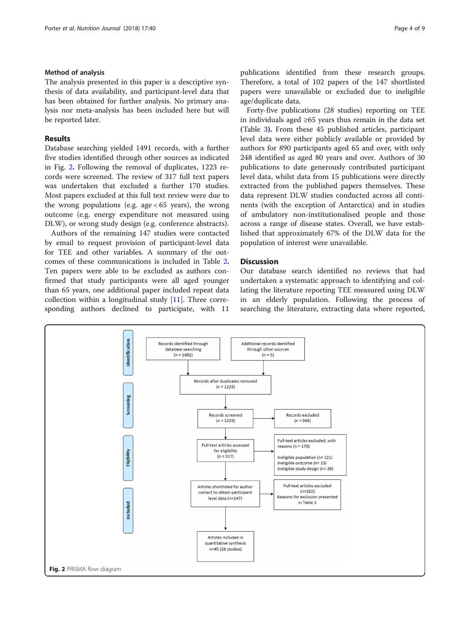## Method of analysis

The analysis presented in this paper is a descriptive synthesis of data availability, and participant-level data that has been obtained for further analysis. No primary analysis nor meta-analysis has been included here but will be reported later.

## Results

Database searching yielded 1491 records, with a further five studies identified through other sources as indicated in Fig. 2. Following the removal of duplicates, 1223 records were screened. The review of 317 full text papers was undertaken that excluded a further 170 studies. Most papers excluded at this full text review were due to the wrong populations (e.g. age  $< 65$  years), the wrong outcome (e.g. energy expenditure not measured using DLW), or wrong study design (e.g. conference abstracts).

Authors of the remaining 147 studies were contacted by email to request provision of participant-level data for TEE and other variables. A summary of the outcomes of these communications is included in Table [2](#page-4-0). Ten papers were able to be excluded as authors confirmed that study participants were all aged younger than 65 years, one additional paper included repeat data collection within a longitudinal study [[11\]](#page-6-0). Three corresponding authors declined to participate, with 11

publications identified from these research groups. Therefore, a total of 102 papers of the 147 shortlisted papers were unavailable or excluded due to ineligible age/duplicate data.

Forty-five publications (28 studies) reporting on TEE in individuals aged ≥65 years thus remain in the data set (Table [3](#page-5-0)). From these 45 published articles, participant level data were either publicly available or provided by authors for 890 participants aged 65 and over, with only 248 identified as aged 80 years and over. Authors of 30 publications to date generously contributed participant level data, whilst data from 15 publications were directly extracted from the published papers themselves. These data represent DLW studies conducted across all continents (with the exception of Antarctica) and in studies of ambulatory non-institutionalised people and those across a range of disease states. Overall, we have established that approximately 67% of the DLW data for the population of interest were unavailable.

## **Discussion**

Our database search identified no reviews that had undertaken a systematic approach to identifying and collating the literature reporting TEE measured using DLW in an elderly population. Following the process of searching the literature, extracting data where reported,

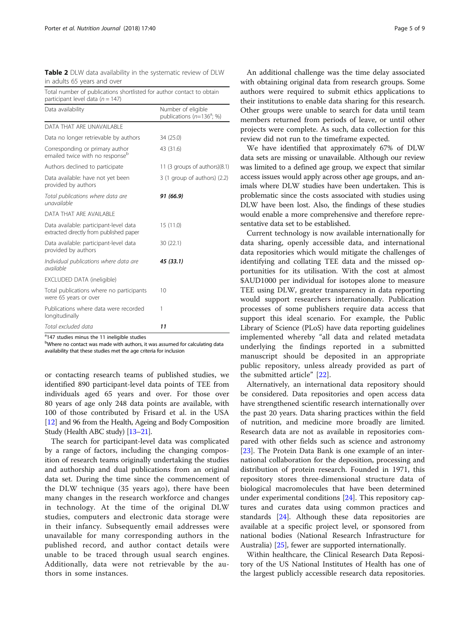<span id="page-4-0"></span>Table 2 DLW data availability in the systematic review of DLW in adults 65 years and over

| Total number of publications shortlisted for author contact to obtain<br>participant level data ( $n = 147$ ) |                                                    |  |
|---------------------------------------------------------------------------------------------------------------|----------------------------------------------------|--|
| Data availability                                                                                             | Number of eligible<br>publications $(n=136^a; \%)$ |  |
| DATA THAT ARF UNAVAII ABI F                                                                                   |                                                    |  |
| Data no longer retrievable by authors                                                                         | 34 (25.0)                                          |  |
| Corresponding or primary author<br>emailed twice with no response <sup>b</sup>                                | 43 (31.6)                                          |  |
| Authors declined to participate                                                                               | 11 (3 groups of authors)(8.1)                      |  |
| Data available: have not yet been<br>provided by authors                                                      | 3 (1 group of authors) (2.2)                       |  |
| Total publications where data are<br>unavailable                                                              | 91 (66.9)                                          |  |
| DATA THAT ARF AVAILABLE                                                                                       |                                                    |  |
| Data available: participant-level data<br>extracted directly from published paper                             | 15 (11.0)                                          |  |
| Data available: participant-level data<br>provided by authors                                                 | 30(22.1)                                           |  |
| Individual publications where data are<br>available                                                           | 45 (33.1)                                          |  |
| EXCLUDED DATA (ineligible)                                                                                    |                                                    |  |
| Total publications where no participants<br>were 65 years or over                                             | 10                                                 |  |
| Publications where data were recorded<br>longitudinally                                                       | 1                                                  |  |
| Total excluded data                                                                                           | 11                                                 |  |
|                                                                                                               |                                                    |  |

Total number of publications shortlisted for author contact to obtain

<sup>a</sup>147 studies minus the 11 ineligible studies

<sup>b</sup>Where no contact was made with authors, it was assumed for calculating data availability that these studies met the age criteria for inclusion

or contacting research teams of published studies, we identified 890 participant-level data points of TEE from individuals aged 65 years and over. For those over 80 years of age only 248 data points are available, with 100 of those contributed by Frisard et al. in the USA [[12\]](#page-7-0) and 96 from the Health, Ageing and Body Composition Study (Health ABC study) [[13](#page-7-0)–[21\]](#page-7-0).

The search for participant-level data was complicated by a range of factors, including the changing composition of research teams originally undertaking the studies and authorship and dual publications from an original data set. During the time since the commencement of the DLW technique (35 years ago), there have been many changes in the research workforce and changes in technology. At the time of the original DLW studies, computers and electronic data storage were in their infancy. Subsequently email addresses were unavailable for many corresponding authors in the published record, and author contact details were unable to be traced through usual search engines. Additionally, data were not retrievable by the authors in some instances.

An additional challenge was the time delay associated with obtaining original data from research groups. Some authors were required to submit ethics applications to their institutions to enable data sharing for this research. Other groups were unable to search for data until team members returned from periods of leave, or until other projects were complete. As such, data collection for this review did not run to the timeframe expected.

We have identified that approximately 67% of DLW data sets are missing or unavailable. Although our review was limited to a defined age group, we expect that similar access issues would apply across other age groups, and animals where DLW studies have been undertaken. This is problematic since the costs associated with studies using DLW have been lost. Also, the findings of these studies would enable a more comprehensive and therefore representative data set to be established.

Current technology is now available internationally for data sharing, openly accessible data, and international data repositories which would mitigate the challenges of identifying and collating TEE data and the missed opportunities for its utilisation. With the cost at almost \$AUD1000 per individual for isotopes alone to measure TEE using DLW, greater transparency in data reporting would support researchers internationally. Publication processes of some publishers require data access that support this ideal scenario. For example, the Public Library of Science (PLoS) have data reporting guidelines implemented whereby "all data and related metadata underlying the findings reported in a submitted manuscript should be deposited in an appropriate public repository, unless already provided as part of the submitted article" [[22](#page-7-0)].

Alternatively, an international data repository should be considered. Data repositories and open access data have strengthened scientific research internationally over the past 20 years. Data sharing practices within the field of nutrition, and medicine more broadly are limited. Research data are not as available in repositories compared with other fields such as science and astronomy [[23\]](#page-7-0). The Protein Data Bank is one example of an international collaboration for the deposition, processing and distribution of protein research. Founded in 1971, this repository stores three-dimensional structure data of biological macromolecules that have been determined under experimental conditions [\[24](#page-7-0)]. This repository captures and curates data using common practices and standards [[24](#page-7-0)]. Although these data repositories are available at a specific project level, or sponsored from national bodies (National Research Infrastructure for Australia) [[25\]](#page-7-0), fewer are supported internationally.

Within healthcare, the Clinical Research Data Repository of the US National Institutes of Health has one of the largest publicly accessible research data repositories.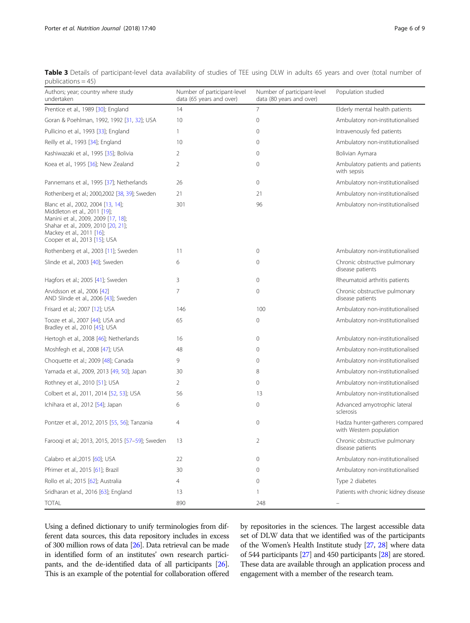<span id="page-5-0"></span>Table 3 Details of participant-level data availability of studies of TEE using DLW in adults 65 years and over (total number of publications  $= 45$ )

| Authors; year; country where study<br>undertaken                                                                                                                                                               | Number of participant-level<br>data (65 years and over) | Number of participant-level<br>data (80 years and over) | Population studied                                         |
|----------------------------------------------------------------------------------------------------------------------------------------------------------------------------------------------------------------|---------------------------------------------------------|---------------------------------------------------------|------------------------------------------------------------|
| Prentice et al., 1989 [30]; England                                                                                                                                                                            | 14                                                      | $\overline{7}$                                          | Elderly mental health patients                             |
| Goran & Poehlman, 1992, 1992 [31, 32]; USA                                                                                                                                                                     | 10                                                      | 0                                                       | Ambulatory non-institutionalised                           |
| Pullicino et al., 1993 [33]; England                                                                                                                                                                           | 1                                                       | 0                                                       | Intravenously fed patients                                 |
| Reilly et al., 1993 [34]; England                                                                                                                                                                              | 10                                                      | 0                                                       | Ambulatory non-institutionalised                           |
| Kashiwazaki et al., 1995 [35]; Bolivia                                                                                                                                                                         | 2                                                       | 0                                                       | Bolivian Aymara                                            |
| Koea et al., 1995 [36]; New Zealand                                                                                                                                                                            | 2                                                       | 0                                                       | Ambulatory patients and patients<br>with sepsis            |
| Pannemans et al., 1995 [37]; Netherlands                                                                                                                                                                       | 26                                                      | 0                                                       | Ambulatory non-institutionalised                           |
| Rothenberg et al.; 2000,2002 [38, 39]; Sweden                                                                                                                                                                  | 21                                                      | 21                                                      | Ambulatory non-institutionalised                           |
| Blanc et al., 2002, 2004 [13, 14];<br>Middleton et al., 2011 [19];<br>Manini et al., 2009, 2009 [17, 18];<br>Shahar et al., 2009, 2010 [20, 21];<br>Mackey et al., 2011 [16];<br>Cooper et al., 2013 [15]; USA | 301                                                     | 96                                                      | Ambulatory non-institutionalised                           |
| Rothenberg et al., 2003 [11]; Sweden                                                                                                                                                                           | 11                                                      | 0                                                       | Ambulatory non-institutionalised                           |
| Slinde et al., 2003 [40]; Sweden                                                                                                                                                                               | 6                                                       | 0                                                       | Chronic obstructive pulmonary<br>disease patients          |
| Hagfors et al.; 2005 [41]; Sweden                                                                                                                                                                              | 3                                                       | 0                                                       | Rheumatoid arthritis patients                              |
| Arvidsson et al., 2006 [42]<br>AND Slinde et al., 2006 [43]; Sweden                                                                                                                                            | 7                                                       | 0                                                       | Chronic obstructive pulmonary<br>disease patients          |
| Frisard et al.; 2007 [12]; USA                                                                                                                                                                                 | 146                                                     | 100                                                     | Ambulatory non-institutionalised                           |
| Tooze et al., 2007 [44]; USA and<br>Bradley et al., 2010 [45]; USA                                                                                                                                             | 65                                                      | 0                                                       | Ambulatory non-institutionalised                           |
| Hertogh et al., 2008 [46]; Netherlands                                                                                                                                                                         | 16                                                      | 0                                                       | Ambulatory non-institutionalised                           |
| Moshfegh et al., 2008 [47]; USA                                                                                                                                                                                | 48                                                      | 0                                                       | Ambulatory non-institutionalised                           |
| Choquette et al.; 2009 [48]; Canada                                                                                                                                                                            | 9                                                       | 0                                                       | Ambulatory non-institutionalised                           |
| Yamada et al., 2009, 2013 [49, 50]; Japan                                                                                                                                                                      | 30                                                      | 8                                                       | Ambulatory non-institutionalised                           |
| Rothney et al., 2010 [51]; USA                                                                                                                                                                                 | 2                                                       | 0                                                       | Ambulatory non-institutionalised                           |
| Colbert et al., 2011, 2014 [52, 53]; USA                                                                                                                                                                       | 56                                                      | 13                                                      | Ambulatory non-institutionalised                           |
| Ichihara et al., 2012 [54]; Japan                                                                                                                                                                              | 6                                                       | 0                                                       | Advanced amyotrophic lateral<br>sclerosis                  |
| Pontzer et al., 2012, 2015 [55, 56]; Tanzania                                                                                                                                                                  | 4                                                       | 0                                                       | Hadza hunter-gatherers compared<br>with Western population |
| Farooqi et al.; 2013, 2015, 2015 [57-59]; Sweden                                                                                                                                                               | 13                                                      | 2                                                       | Chronic obstructive pulmonary<br>disease patients          |
| Calabro et al.;2015 [60]; USA                                                                                                                                                                                  | 22                                                      | 0                                                       | Ambulatory non-institutionalised                           |
| Pfrimer et al., 2015 [61]; Brazil                                                                                                                                                                              | 30                                                      | 0                                                       | Ambulatory non-institutionalised                           |
| Rollo et al.; 2015 [62]; Australia                                                                                                                                                                             | 4                                                       | 0                                                       | Type 2 diabetes                                            |
| Sridharan et al., 2016 [63]; England                                                                                                                                                                           | 13                                                      | 1                                                       | Patients with chronic kidney disease                       |
| <b>TOTAL</b>                                                                                                                                                                                                   | 890                                                     | 248                                                     |                                                            |

Using a defined dictionary to unify terminologies from different data sources, this data repository includes in excess of 300 million rows of data [\[26\]](#page-7-0). Data retrieval can be made in identified form of an institutes' own research participants, and the de-identified data of all participants [\[26](#page-7-0)]. This is an example of the potential for collaboration offered by repositories in the sciences. The largest accessible data set of DLW data that we identified was of the participants of the Women's Health Institute study [\[27,](#page-7-0) [28\]](#page-7-0) where data of 544 participants [\[27](#page-7-0)] and 450 participants [\[28](#page-7-0)] are stored. These data are available through an application process and engagement with a member of the research team.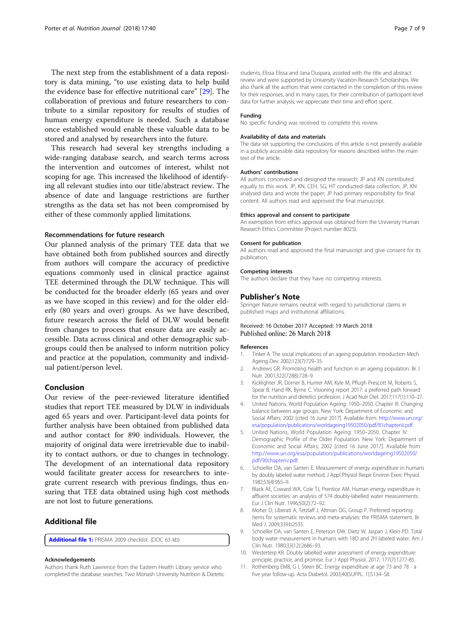<span id="page-6-0"></span>The next step from the establishment of a data repository is data mining, "to use existing data to help build the evidence base for effective nutritional care" [\[29](#page-7-0)]. The collaboration of previous and future researchers to contribute to a similar repository for results of studies of human energy expenditure is needed. Such a database once established would enable these valuable data to be stored and analysed by researchers into the future.

This research had several key strengths including a wide-ranging database search, and search terms across the intervention and outcomes of interest, whilst not scoping for age. This increased the likelihood of identifying all relevant studies into our title/abstract review. The absence of date and language restrictions are further strengths as the data set has not been compromised by either of these commonly applied limitations.

## Recommendations for future research

Our planned analysis of the primary TEE data that we have obtained both from published sources and directly from authors will compare the accuracy of predictive equations commonly used in clinical practice against TEE determined through the DLW technique. This will be conducted for the broader elderly (65 years and over as we have scoped in this review) and for the older elderly (80 years and over) groups. As we have described, future research across the field of DLW would benefit from changes to process that ensure data are easily accessible. Data across clinical and other demographic subgroups could then be analysed to inform nutrition policy and practice at the population, community and individual patient/person level.

#### Conclusion

Our review of the peer-reviewed literature identified studies that report TEE measured by DLW in individuals aged 65 years and over. Participant-level data points for further analysis have been obtained from published data and author contact for 890 individuals. However, the majority of original data were irretrievable due to inability to contact authors, or due to changes in technology. The development of an international data repository would facilitate greater access for researchers to integrate current research with previous findings, thus ensuring that TEE data obtained using high cost methods are not lost to future generations.

## Additional file

[Additional file 1:](https://doi.org/10.1186/s12937-018-0348-8) PRISMA 2009 checklist. (DOC 63 kb)

#### Acknowledgements

Authors thank Ruth Lawrence from the Eastern Health Library service who completed the database searches. Two Monash University Nutrition & Dietetic students, Elissa Elissa and Jana Duspara, assisted with the title and abstract review and were supported by University Vacation Research Scholarships. We also thank all the authors that were contacted in the completion of this review for their responses, and in many cases, for their contribution of participant-level data for further analysis, we appreciate their time and effort spent.

#### Funding

No specific funding was received to complete this review.

#### Availability of data and materials

The data set supporting the conclusions of this article is not presently available in a publicly accessible data repository for reasons described within the main text of the article.

#### Authors' contributions

All authors conceived and designed the research; JP and KN contributed equally to this work. JP, KN, CEH, SG, HT conducted data collection; JP, KN analysed data and wrote the paper; JP had primary responsibility for final content. All authors read and approved the final manuscript.

#### Ethics approval and consent to participate

An exemption from ethics approval was obtained from the University Human Research Ethics Committee (Project number 8025).

#### Consent for publication

All authors read and approved the final manuscript and give consent for its publication.

#### Competing interests

The authors declare that they have no competing interests.

#### Publisher's Note

Springer Nature remains neutral with regard to jurisdictional claims in published maps and institutional affiliations.

## Received: 16 October 2017 Accepted: 19 March 2018 Published online: 26 March 2018

#### References

- 1. Tinker A. The social implications of an ageing population. Introduction Mech Ageing Dev. 2002;123(7):729–35.
- 2. Andrews GR. Promoting health and function in an ageing population. Br J Nutr. 2001;322(7288):728–9.
- 3. Kicklighter JR, Dorner B, Hunter AM, Kyle M, Pflugh Prescott M, Roberts S, Spear B, Hand RK, Byrne C. Visioning report 2017: a preferred path forward for the nutrition and dietetics profession. J Acad Nutr Diet. 2017;117(1):110–27.
- 4. United Nations, World Population Ageing: 1950–2050. Chapter III. Changing balance between age groups. New York: Department of Economic and Social Affairs; 2002 [cited 16 June 2017]. Available from: [http://www.un.org/](http://www.un.org/esa/population/publications/worldageing19502050/pdf/81chapteriii.pdf) [esa/population/publications/worldageing19502050/pdf/81chapteriii.pdf](http://www.un.org/esa/population/publications/worldageing19502050/pdf/81chapteriii.pdf).
- 5. United Nations, World Population Ageing: 1950–2050. Chapter IV: Demographic Profile of the Older Population. New York: Department of Economic and Social Affairs; 2002 [cited 16 June 2017]. Available from: [http://www.un.org/esa/population/publications/worldageing19502050/](http://www.un.org/esa/population/publications/worldageing19502050/pdf/90chapteriv.pdf) [pdf/90chapteriv.pdf](http://www.un.org/esa/population/publications/worldageing19502050/pdf/90chapteriv.pdf).
- 6. Schoeller DA, van Santen E. Measurement of energy expenditure in humans by doubly labeled water method. J Appl Physiol Respir Environ Exerc Physiol. 1982;53(4):955–9.
- 7. Black AE, Coward WA, Cole TJ, Prentice AM. Human energy expenditure in affluent societies: an analysis of 574 doubly-labelled water measurements. Eur J Clin Nutr. 1996;50(2):72–92.
- 8. Moher D, Liberati A, Tetzlaff J, Altman DG, Group P. Preferred reporting items for systematic reviews and meta-analyses: the PRISMA statement. Br Med J. 2009;339:b2535.
- 9. Schoeller DA, van Santen E, Peterson DW, Dietz W, Jaspan J, Klein PD. Total body water measurement in humans with 18O and 2H labeled water. Am J Clin Nutr. 1980;33(12):2686–93.
- 10. Westerterp KR. Doubly labelled water assessment of energy expenditure: principle, practice, and promise. Eur J Appl Physiol. 2017; 177(7):1277-85.
- 11. Rothenberg EMB, G I, Steen BC. Energy expenditure at age 73 and 78 a five year follow-up. Acta Diabetol. 2003;40(SUPPL. 1):S134–S8.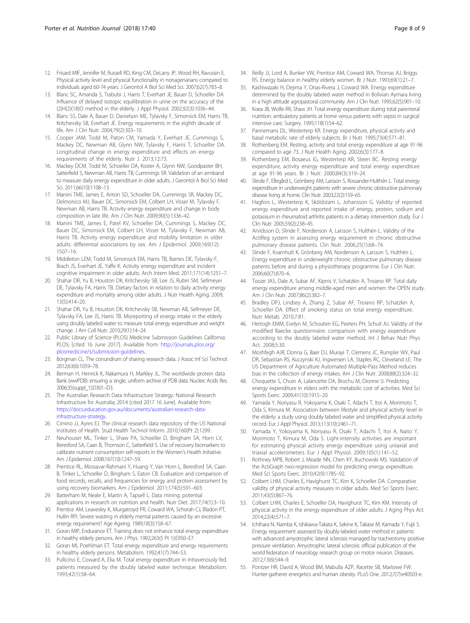- <span id="page-7-0"></span>12. Frisard MIF, Jennifer M, Russell RD, King CM, DeLany JP, Wood RH, Ravussin E. Physical activity level and physical functionality in nonagenarians compared to individuals aged 60-74 years. J Gerontol A Biol Sci Med Sci. 2007;62(7):783–8.
- 13. Blanc SC, Amanda S, Trabulsi J, Harris T, Everhart JE, Bauer D, Schoeller DA. Influence of delayed isotopic equilibration in urine on the accuracy of the (2)H(2)(18)O method in the elderly. J Appl Physiol. 2002;92(3):1036–44.
- 14. Blanc SS, Dale A, Bauer D, Danielson ME, Tylavsky F, Simonsick EM, Harris TB, Kritchevsky SB, Everhart JE. Energy requirements in the eighth decade of life. Am J Clin Nutr. 2004;79(2):303–10.
- 15. Cooper JAM, Todd M, Paton CM, Yamada Y, Everhart JE, Cummings S, Mackey DC, Newman AB, Glynn NW, Tylavsky F, Harris T, Schoeller DA. Longitudinal change in energy expenditure and effects on energy requirements of the elderly. Nutr J. 2013;12:73.
- 16. Mackey DCM, Todd M, Schoeller DA, Koster A, Glynn NW, Goodpaster BH, Satterfield S, Newman AB, Harris TB, Cummings SR. Validation of an armband to measure daily energy expenditure in older adults. J Gerontol A Biol Sci Med Sci. 2011;66(10):1108–13.
- 17. Manini TME, James E, Anton SD, Schoeller DA, Cummings SR, Mackey DC, Delmonico MJ, Bauer DC, Simonsick EM, Colbert LH, Visser M, Tylavsky F, Newman AB, Harris TB. Activity energy expenditure and change in body composition in late life. Am J Clin Nutr. 2009;90(5):1336–42.
- 18. Manini TME, James E, Patel KV, Schoeller DA, Cummings S, Mackey DC, Bauer DC, Simonsick EM, Colbert LH, Visser M, Tylavsky F, Newman AB, Harris TB. Activity energy expenditure and mobility limitation in older adults: differential associations by sex. Am J Epidemiol. 2009;169(12): 1507–16.
- 19. Middleton LEM, Todd M, Simonsick EM, Harris TB, Barnes DE, Tylavsky F, Brach JS, Everhart JE, Yaffe K. Activity energy expenditure and incident cognitive impairment in older adults. Arch Intern Med. 2011;171(14):1251–7.
- 20. Shahar DR, Yu B, Houston DK, Kritchevsky SB, Lee JS, Rubin SM, Sellmeyer DE, Tylavsky FA, Harris TB. Dietary factors in relation to daily activity energy expenditure and mortality among older adults. J Nutr Health Aging. 2009; 13(5):414–20.
- 21. Shahar DR, Yu B, Houston DK, Kritchevsky SB, Newman AB, Sellmeyer DE, Tylavsky FA, Lee JS, Harris TB. Misreporting of energy intake in the elderly using doubly labeled water to measure total energy expenditure and weight change. J Am Coll Nutr. 2010;29(1):14–24.
- 22. Public Library of Science (PLOS) Medicine Submission Guidelines California: PLOS; [cited 16 June 2017]. Available from: [http://journals.plos.org/](http://journals.plos.org/plosmedicine/s/submission-guidelines) [plosmedicine/s/submission-guidelines](http://journals.plos.org/plosmedicine/s/submission-guidelines).
- 23. Borgman CL. The conundrum of sharing research data. J Assoc Inf Sci Technol. 2012;63(6):1059–78.
- 24. Berman H, Henrick K, Nakamura H, Markley JL. The worldwide protein data Bank (wwPDB): ensuring a single, uniform archive of PDB data. Nucleic Acids Res. 2006;35(suppl\_1):D301–D3.
- 25. The Australian Research Data Infrastructure Strategy: National Research Infrastructure for Australia; 2014 [cited 2017 16 June]. Available from: [https://docs.education.gov.au/documents/australian-research-data](https://docs.education.gov.au/documents/australian-research-data-infrastructure-strategy)[infrastructure-strategy.](https://docs.education.gov.au/documents/australian-research-data-infrastructure-strategy)
- 26. Cimino JJ, Ayres EJ. The clinical research data repository of the US National Institutes of Health. Stud Health Technol Inform. 2010;160(Pt 2):1299.
- 27. Neuhouser ML, Tinker L, Shaw PA, Schoeller D, Bingham SA, Horn LV, Beresford SA, Caan B, Thomson C, Satterfield S. Use of recovery biomarkers to calibrate nutrient consumption self-reports in the Women's Health Initiative. Am J Epidemiol. 2008;167(10):1247–59.
- 28. Prentice RL, Mossavar-Rahmani Y, Huang Y, Van Horn L, Beresford SA, Caan B, Tinker L, Schoeller D, Bingham S, Eaton CB. Evaluation and comparison of food records, recalls, and frequencies for energy and protein assessment by using recovery biomarkers. Am J Epidemiol. 2011;174(5):591–603.
- 29. Batterham M, Neale E, Martin A, Tapsell L. Data mining: potential applications in research on nutrition and health. Nutr Diet. 2017;74(1):3–10.
- 30. Prentice AM, Leavesley K, Murgatroyd PR, Coward WA, Schorah CJ, Bladon PT, Hullin RPI. Severe wasting in elderly mental patients caused by an excessive energy requirement? Age Ageing. 1989;18(3):158–67.
- 31. Goran MIP, Endurance ET. Training does not enhance total energy expenditure in healthy elderly persons. Am J Phys. 1992;263(5 Pt 1):E950–E7.
- 32. Goran MI, Poehlman ET. Total energy expenditure and energy requirements in healthy elderly persons. Metabolism. 1992;41(7):744–53.
- 33. Pullicino E, Coward A, Elia M. Total energy expenditure in intravenously fed patients measured by the doubly labeled water technique. Metabolism. 1993;42(1):58–64.
- 34. Reilly JJ, Lord A, Bunker VW, Prentice AM, Coward WA, Thomas AJ, Briggs RS. Energy balance in healthy elderly women. Br J Nutr. 1993;69(1):21–7.
- 35. Kashiwazaki H, Dejima Y, Orias-Rivera J, Coward WA. Energy expenditure determined by the doubly labeled water method in Bolivian Aymara living in a high altitude agropastoral community. Am J Clin Nutr. 1995;62(5):901–10.
- 36. Koea JB, Wolfe RR, Shaw JH. Total energy expenditure during total parenteral nutrition: ambulatory patients at home versus patients with sepsis in surgical intensive care. Surgery. 1995;118(1):54–62.
- 37. Pannemans DL, Westerterp KR. Energy expenditure, physical activity and basal metabolic rate of elderly subjects. Br J Nutr. 1995;73(4):571–81.
- 38. Rothenberg EM. Resting, activity and total energy expenditure at age 91-96 compared to age 73. J Nutr Health Aging. 2002;6(3):177–8.
- 39. Rothenberg EM, Bosaeus IG, Westerterp KR, Steen BC. Resting energy expenditure, activity energy expenditure and total energy expenditure at age 91-96 years. Br J Nutr. 2000;84(3):319–24.
- 40. Slinde F, Ellegård L, Grönberg AM, Larsson S, Rossander-Hulthén L. Total energy expenditure in underweight patients with severe chronic obstructive pulmonary disease living at home. Clin Nutr. 2003;22(2):159–65.
- 41. Hagfors L, Westerterp K, Sköldstam L, Johansson G. Validity of reported energy expenditure and reported intake of energy, protein, sodium and potassium in rheumatoid arthritis patients in a dietary intervention study. Eur J Clin Nutr. 2005;59(2):238–45.
- 42. Arvidsson D, Slinde F, Nordenson A, Larsson S, Hulthén L. Validity of the ActiReg system in assessing energy requirement in chronic obstructive pulmonary disease patients. Clin Nutr. 2006;25(1):68–74.
- 43. Slinde F, Kvarnhult K, Grönberg AM, Nordenson A, Larsson S, Hulthén L. Energy expenditure in underweight chronic obstructive pulmonary disease patients before and during a physiotherapy programme. Eur J Clin Nutr. 2006;60(7):870–6.
- 44. Tooze JAS, Dale A, Subar AF, Kipnis V, Schatzkin A, Troiano RP. Total daily energy expenditure among middle-aged men and women: the OPEN study. Am J Clin Nutr. 2007;86(2):382–7.
- 45. Bradley DPJ, Lindsey A, Zhang Z, Subar AF, Troiano RP, Schatzkin A, Schoeller DA. Effect of smoking status on total energy expenditure. Nutr Metab. 2010;7:81.
- 46. Hertogh EMM, Evelyn M, Schouten EG, Peeters PH, Schuit AJ. Validity of the modified Baecke questionnaire: comparison with energy expenditure according to the doubly labeled water method. Int J Behav Nutr Phys Act. 2008;5:30.
- 47. Moshfegh AJR, Donna G, Baer DJ, Murayi T, Clemens JC, Rumpler WV, Paul DR, Sebastian RS, Kuczynski KJ, Ingwersen LA, Staples RC, Cleveland LE. The US Department of Agriculture Automated Multiple-Pass Method reduces bias in the collection of energy intakes. Am J Clin Nutr. 2008;88(2):324–32.
- 48. Choquette S, Chuin A, Lalancette DA, Brochu M, Dionne IJ. Predicting energy expenditure in elders with the metabolic cost of activities. Med Sci Sports Exerc. 2009;41(10):1915–20.
- Yamada Y, Noriyasu R, Yokoyama K, Osaki T, Adachi T, Itoi A, Morimoto T, Oda S, Kimura M. Association between lifestyle and physical activity level in the elderly: a study using doubly labeled water and simplified physical activity record. Eur J Appl Physiol. 2013;113(10):2461–71.
- 50. Yamada Y, Yokoyama K, Noriyasu R, Osaki T, Adachi T, Itoi A, Naito Y, Morimoto T, Kimura M, Oda S. Light-intensity activities are important for estimating physical activity energy expenditure using uniaxial and triaxial accelerometers. Eur J Appl Physiol. 2009;105(1):141–52.
- 51. Rothney MPB, Robert J, Meade NN, Chen KY, Buchowski MS. Validation of the ActiGraph two-regression model for predicting energy expenditure. Med Sci Sports Exerc. 2010;42(9):1785–92.
- 52. Colbert LHM, Charles E, Havighurst TC, Kim K, Schoeller DA. Comparative validity of physical activity measures in older adults. Med Sci Sports Exerc. 2011;43(5):867–76.
- 53. Colbert LHM, Charles E, Schoeller DA, Havighurst TC, Kim KM. Intensity of physical activity in the energy expenditure of older adults. J Aging Phys Act. 2014;22(4):571–7.
- 54. Ichihara N, Namba K, Ishikawa-Takata K, Sekine K, Takase M, Kamada Y, Fujii S. Energy requirement assessed by doubly-labeled water method in patients with advanced amyotrophic lateral sclerosis managed by tracheotomy positive pressure ventilation. Amyotrophic lateral sclerosis: official publication of the world federation of neurology research group on motor neuron. Diseases. 2012;13(6):544–9.
- 55. Pontzer HR, David A, Wood BM, Mabulla AZP, Racette SB, Marlowe FW. Hunter-gatherer energetics and human obesity. PLoS One. 2012;7(7):e40503-e.